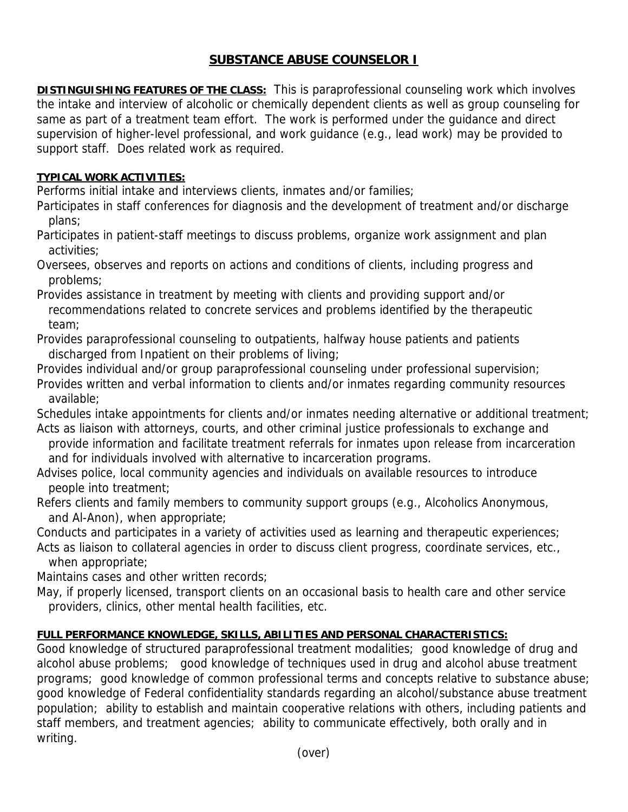## **SUBSTANCE ABUSE COUNSELOR I**

**DISTINGUISHING FEATURES OF THE CLASS:** This is paraprofessional counseling work which involves the intake and interview of alcoholic or chemically dependent clients as well as group counseling for same as part of a treatment team effort. The work is performed under the guidance and direct supervision of higher-level professional, and work guidance (e.g., lead work) may be provided to support staff. Does related work as required.

## **TYPICAL WORK ACTIVITIES:**

Performs initial intake and interviews clients, inmates and/or families;

- Participates in staff conferences for diagnosis and the development of treatment and/or discharge plans;
- Participates in patient-staff meetings to discuss problems, organize work assignment and plan activities;
- Oversees, observes and reports on actions and conditions of clients, including progress and problems;

Provides assistance in treatment by meeting with clients and providing support and/or recommendations related to concrete services and problems identified by the therapeutic team;

- Provides paraprofessional counseling to outpatients, halfway house patients and patients discharged from Inpatient on their problems of living;
- Provides individual and/or group paraprofessional counseling under professional supervision; Provides written and verbal information to clients and/or inmates regarding community resources available;

Schedules intake appointments for clients and/or inmates needing alternative or additional treatment; Acts as liaison with attorneys, courts, and other criminal justice professionals to exchange and

- provide information and facilitate treatment referrals for inmates upon release from incarceration and for individuals involved with alternative to incarceration programs.
- Advises police, local community agencies and individuals on available resources to introduce people into treatment;
- Refers clients and family members to community support groups (e.g., Alcoholics Anonymous, and Al-Anon), when appropriate;

Conducts and participates in a variety of activities used as learning and therapeutic experiences;

Acts as liaison to collateral agencies in order to discuss client progress, coordinate services, etc., when appropriate;

Maintains cases and other written records;

May, if properly licensed, transport clients on an occasional basis to health care and other service providers, clinics, other mental health facilities, etc.

## **FULL PERFORMANCE KNOWLEDGE, SKILLS, ABILITIES AND PERSONAL CHARACTERISTICS:**

Good knowledge of structured paraprofessional treatment modalities; good knowledge of drug and alcohol abuse problems; good knowledge of techniques used in drug and alcohol abuse treatment programs; good knowledge of common professional terms and concepts relative to substance abuse; good knowledge of Federal confidentiality standards regarding an alcohol/substance abuse treatment population; ability to establish and maintain cooperative relations with others, including patients and staff members, and treatment agencies; ability to communicate effectively, both orally and in writing.